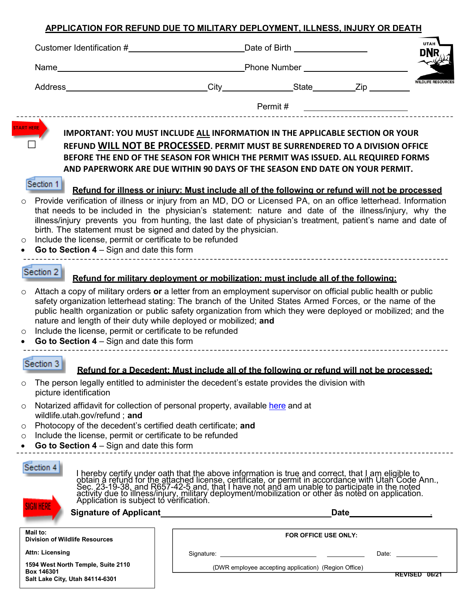## **APPLICATION FOR REFUND DUE TO MILITARY DEPLOYMENT, ILLNESS, INJURY OR DEATH**

|                                                                                                                                                                                                                                                   | Customer Identification # Date of Birth                                                                                                                                                                                                                                                                                                                                                                                                                                                                                                                                                                                                                                                                                                                                                                                                                     | <b>UTAH</b>               |
|---------------------------------------------------------------------------------------------------------------------------------------------------------------------------------------------------------------------------------------------------|-------------------------------------------------------------------------------------------------------------------------------------------------------------------------------------------------------------------------------------------------------------------------------------------------------------------------------------------------------------------------------------------------------------------------------------------------------------------------------------------------------------------------------------------------------------------------------------------------------------------------------------------------------------------------------------------------------------------------------------------------------------------------------------------------------------------------------------------------------------|---------------------------|
|                                                                                                                                                                                                                                                   | Name <b>Name Example 2</b> and the Contract of the Contract of Phone Number <b>Contract of the Contract of the Contract of the Contract of the Contract of the Contract of the Contract of Tennes and Tennes and Tennes and Tennes </b>                                                                                                                                                                                                                                                                                                                                                                                                                                                                                                                                                                                                                     |                           |
|                                                                                                                                                                                                                                                   |                                                                                                                                                                                                                                                                                                                                                                                                                                                                                                                                                                                                                                                                                                                                                                                                                                                             | <b>WILDLIFE RESOURCES</b> |
|                                                                                                                                                                                                                                                   | Permit #<br><u> 1980 - Jan Samuel Barbara, político establecera en la propia de la propia de la propia de la propia de la pro</u>                                                                                                                                                                                                                                                                                                                                                                                                                                                                                                                                                                                                                                                                                                                           |                           |
| <b>RT HERE</b><br>Section 1                                                                                                                                                                                                                       | <b>IMPORTANT: YOU MUST INCLUDE ALL INFORMATION IN THE APPLICABLE SECTION OR YOUR</b><br>REFUND WILL NOT BE PROCESSED. PERMIT MUST BE SURRENDERED TO A DIVISION OFFICE<br>BEFORE THE END OF THE SEASON FOR WHICH THE PERMIT WAS ISSUED. ALL REQUIRED FORMS<br>AND PAPERWORK ARE DUE WITHIN 90 DAYS OF THE SEASON END DATE ON YOUR PERMIT.<br>Refund for illness or iniury: Must include all of the following or refund will not be processed<br>o Provide verification of illness or injury from an MD, DO or Licensed PA, on an office letterhead. Information<br>that needs to be included in the physician's statement: nature and date of the illness/injury, why the<br>illness/injury prevents you from hunting, the last date of physician's treatment, patient's name and date of<br>birth. The statement must be signed and dated by the physician. |                           |
| Include the license, permit or certificate to be refunded<br>$\circ$<br>Go to Section $4 -$ Sign and date this form<br>$\bullet$                                                                                                                  |                                                                                                                                                                                                                                                                                                                                                                                                                                                                                                                                                                                                                                                                                                                                                                                                                                                             |                           |
| Section 2                                                                                                                                                                                                                                         | Refund for military deployment or mobilization: must include all of the following:                                                                                                                                                                                                                                                                                                                                                                                                                                                                                                                                                                                                                                                                                                                                                                          |                           |
| $\circ$<br>Include the license, permit or certificate to be refunded<br>$\circ$<br>Go to Section $4 -$ Sign and date this form                                                                                                                    | Attach a copy of military orders or a letter from an employment supervisor on official public health or public<br>safety organization letterhead stating: The branch of the United States Armed Forces, or the name of the<br>public health organization or public safety organization from which they were deployed or mobilized; and the<br>nature and length of their duty while deployed or mobilized; and                                                                                                                                                                                                                                                                                                                                                                                                                                              |                           |
| Section 3                                                                                                                                                                                                                                         | Refund for a Decedent: Must include all of the following or refund will not be processed:                                                                                                                                                                                                                                                                                                                                                                                                                                                                                                                                                                                                                                                                                                                                                                   |                           |
| O<br>picture identification                                                                                                                                                                                                                       | The person legally entitled to administer the decedent's estate provides the division with                                                                                                                                                                                                                                                                                                                                                                                                                                                                                                                                                                                                                                                                                                                                                                  |                           |
| $\circ$<br>wildlife.utah.gov/refund; and<br>Photocopy of the decedent's certified death certificate; and<br>$\circ$<br>Include the license, permit or certificate to be refunded<br>O<br>Go to Section $4 -$ Sign and date this form<br>$\bullet$ | Notarized affidavit for collection of personal property, available here and at                                                                                                                                                                                                                                                                                                                                                                                                                                                                                                                                                                                                                                                                                                                                                                              |                           |
| Section 4<br>SIGN HERI                                                                                                                                                                                                                            | I hereby certify under oath that the above information is true and correct, that I am eligible to<br>obtain a refund for the attached license, certificate, or permit in accordance with Utah Code Ann.,<br>Sec. 23-19-38, and R657-                                                                                                                                                                                                                                                                                                                                                                                                                                                                                                                                                                                                                        |                           |
|                                                                                                                                                                                                                                                   | Date <u>_______________</u>                                                                                                                                                                                                                                                                                                                                                                                                                                                                                                                                                                                                                                                                                                                                                                                                                                 |                           |
| Mail to:<br><b>Division of Wildlife Resources</b>                                                                                                                                                                                                 | FOR OFFICE USE ONLY:                                                                                                                                                                                                                                                                                                                                                                                                                                                                                                                                                                                                                                                                                                                                                                                                                                        |                           |
| <b>Attn: Licensing</b>                                                                                                                                                                                                                            | Date: _______________                                                                                                                                                                                                                                                                                                                                                                                                                                                                                                                                                                                                                                                                                                                                                                                                                                       |                           |
| 1594 West North Temple, Suite 2110<br>Box 146301<br>Salt Lake City, Utah 84114-6301                                                                                                                                                               | (DWR employee accepting application) (Region Office)                                                                                                                                                                                                                                                                                                                                                                                                                                                                                                                                                                                                                                                                                                                                                                                                        | REVISED 06/21             |
|                                                                                                                                                                                                                                                   |                                                                                                                                                                                                                                                                                                                                                                                                                                                                                                                                                                                                                                                                                                                                                                                                                                                             |                           |